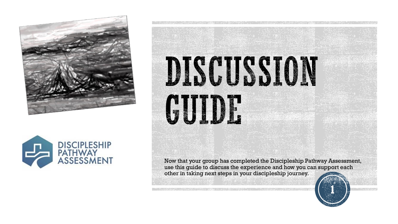



# DISCUSSION CUIDE.

Now that your group has completed the Discipleship Pathway Assessment, use this guide to discuss the experience and how you can support each other in taking next steps in your discipleship journey.

**1**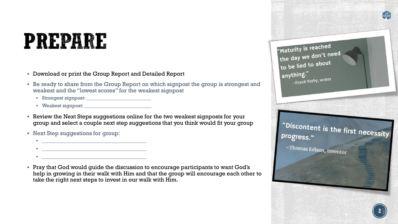## PREPARE

- Download or print the Group Report and Detailed Report
- Be ready to share from the Group Report on which signpost the group is strongest and weakest and the "lowest scores" for the weakest signpost
	- Strongest signpost: \_\_\_\_\_\_\_\_\_\_\_\_\_\_\_\_\_\_\_\_\_\_\_\_\_\_
	- Weakest signpost: \_\_\_\_\_\_\_\_\_\_\_\_\_\_\_\_\_\_\_\_\_\_\_\_\_\_\_
- Review the Next Steps suggestions online for the two weakest signposts for your group and select a couple next step suggestions that you think would fit your group
- Next Step suggestions for group:
	- $\mathcal{L} = \{ \mathcal{L} \mid \mathcal{L} \in \mathcal{L} \mid \mathcal{L} \in \mathcal{L} \}$  , where  $\mathcal{L} = \{ \mathcal{L} \mid \mathcal{L} \in \mathcal{L} \}$  , where  $\mathcal{L} = \{ \mathcal{L} \mid \mathcal{L} \in \mathcal{L} \}$
	- $\mathbb{P}^1_{\mathcal{M}}$  , where  $\mathbb{P}^1_{\mathcal{M}}$  , where  $\mathbb{P}^1_{\mathcal{M}}$  , where  $\mathbb{P}^1_{\mathcal{M}}$
	- $\frac{1}{2}$  ,  $\frac{1}{2}$  ,  $\frac{1}{2}$  ,  $\frac{1}{2}$  ,  $\frac{1}{2}$  ,  $\frac{1}{2}$  ,  $\frac{1}{2}$  ,  $\frac{1}{2}$  ,  $\frac{1}{2}$  ,  $\frac{1}{2}$  ,  $\frac{1}{2}$  ,  $\frac{1}{2}$  ,  $\frac{1}{2}$  ,  $\frac{1}{2}$  ,  $\frac{1}{2}$  ,  $\frac{1}{2}$  ,  $\frac{1}{2}$  ,  $\frac{1}{2}$  ,  $\frac{1$
- Pray that God would guide the discussion to encourage participants to want God's help in growing in their walk with Him and that the group will encourage each other to take the right next steps to invest in our walk with Him.

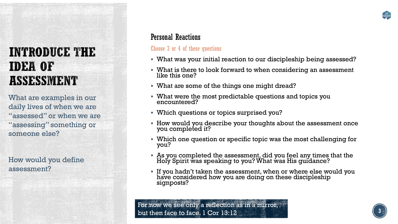### **INTRODUCE THE IDEA OF** ASSESSMENT

What are examples in our daily lives of when we are "assessed" or when we are "assessing" something or someone else?

How would you define assessment?

#### Personal Reactions

#### Choose 3 or 4 of these questions

- What was your initial reaction to our discipleship being assessed?
- **What is there to look forward to when considering an assessment** like this one?
- What are some of the things one might dread?
- What were the most predictable questions and topics you encountered?
- Which questions or topics surprised you?
- How would you describe your thoughts about the assessment once you completed it?
- Which one question or specific topic was the most challenging for you?
- As you completed the assessment, did you feel any times that the Holy Spirit was speaking to you? What was His guidance?
- If you hadn't taken the assessment, when or where else would you have considered how you are doing on these discipleship signposts?

For now we see only a reflection as in a mirror, but then face to face. 1 Cor 13:12



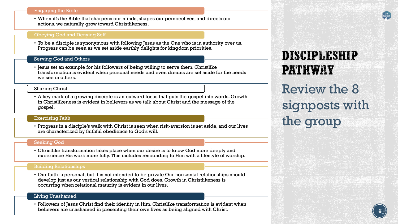#### Engaging the Bible

• When it's the Bible that sharpens our minds, shapes our perspectives, and directs our actions, we naturally grow toward Christlikeness.

#### Obeying God and Denying Self

• To be a disciple is synonymous with following Jesus as the One who is in authority over us. Progress can be seen as we set aside earthly delights for kingdom priorities.

#### Serving God and Others

• Jesus set an example for his followers of being willing to serve them. Christlike transformation is evident when personal needs and even dreams are set aside for the needs we see in others.

#### Sharing Christ

• A key mark of a growing disciple is an outward focus that puts the gospel into words. Growth in Christlikeness is evident in believers as we talk about Christ and the message of the gospel.

#### Exercising Faith

• Progress in a disciple's walk with Christ is seen when risk-aversion is set aside, and our lives are characterized by faithful obedience to God's will.

#### Seeking God

• Christlike transformation takes place when our desire is to know God more deeply and experience His work more fully. This includes responding to Him with a lifestyle of worship.

#### Building Relationships

• Our faith is personal, but it is not intended to be private Our horizontal relationships should develop just as our vertical relationship with God does. Growth in Christlikeness is occurring when relational maturity is evident in our lives.

#### Living Unashamed

• Followers of Jesus Christ find their identity in Him. Christlike transformation is evident when believers are unashamed in presenting their own lives as being aligned with Christ.

### **DISCIPLESHIP PATHWAY**

Review the 8 signposts with the group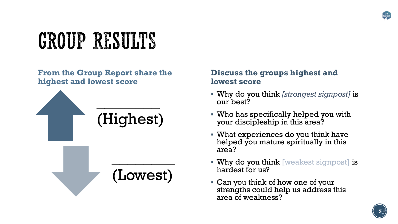# **GROUP RESULTS**

#### **From the Group Report share the highest and lowest score**



#### **Discuss the groups highest and lowest score**

- Why do you think *[strongest signpost]* is our best?
- Who has specifically helped you with your discipleship in this area?
- What experiences do you think have helped you mature spiritually in this area?
- $\bullet$  Why do you think [weakest signpost] is hardest for us?
- Can you think of how one of your strengths could help us address this area of weakness?

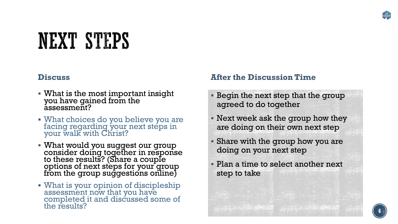# NEXT STEPS

#### **Discuss**

- What is the most important insight you have gained from the assessment?
- What choices do you believe you are facing regarding your next steps in your walk with Christ?
- What would you suggest our group consider doing together in response to these results? (Share a couple options of next steps for your group from the group suggestions online)
- What is your opinion of discipleship assessment now that you have completed it and discussed some of the results?

#### **After the Discussion Time**

- **Begin the next step that the group** agreed to do together
- Next week ask the group how they are doing on their own next step
- **EXA** Share with the group how you are doing on your next step
- Plan a time to select another next step to take